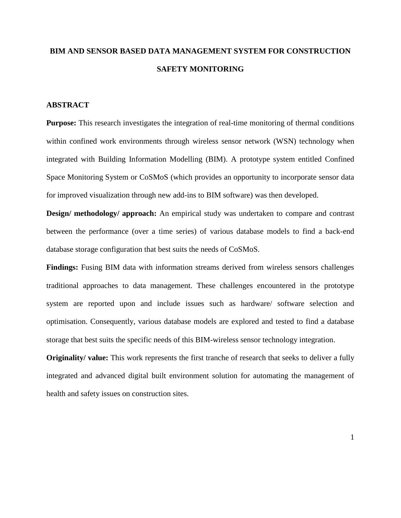# **BIM AND SENSOR BASED DATA MANAGEMENT SYSTEM FOR CONSTRUCTION SAFETY MONITORING**

# **ABSTRACT**

**Purpose:** This research investigates the integration of real-time monitoring of thermal conditions within confined work environments through wireless sensor network (WSN) technology when integrated with Building Information Modelling (BIM). A prototype system entitled Confined Space Monitoring System or CoSMoS (which provides an opportunity to incorporate sensor data for improved visualization through new add-ins to BIM software) was then developed.

**Design/ methodology/ approach:** An empirical study was undertaken to compare and contrast between the performance (over a time series) of various database models to find a back-end database storage configuration that best suits the needs of CoSMoS.

**Findings:** Fusing BIM data with information streams derived from wireless sensors challenges traditional approaches to data management. These challenges encountered in the prototype system are reported upon and include issues such as hardware/ software selection and optimisation. Consequently, various database models are explored and tested to find a database storage that best suits the specific needs of this BIM-wireless sensor technology integration.

**Originality/ value:** This work represents the first tranche of research that seeks to deliver a fully integrated and advanced digital built environment solution for automating the management of health and safety issues on construction sites.

1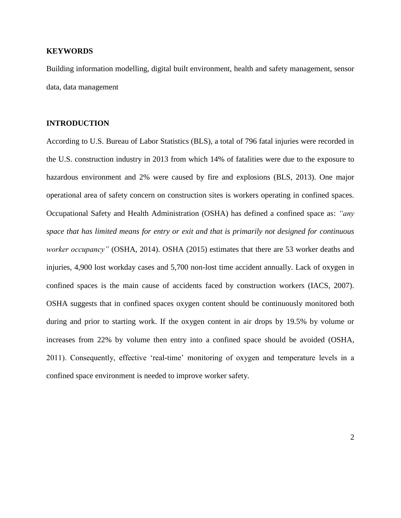## **KEYWORDS**

Building information modelling, digital built environment, health and safety management, sensor data, data management

## **INTRODUCTION**

According to U.S. Bureau of Labor Statistics (BLS), a total of 796 fatal injuries were recorded in the U.S. construction industry in 2013 from which 14% of fatalities were due to the exposure to hazardous environment and 2% were caused by fire and explosions (BLS, 2013). One major operational area of safety concern on construction sites is workers operating in confined spaces. Occupational Safety and Health Administration (OSHA) has defined a confined space as: *"any space that has limited means for entry or exit and that is primarily not designed for continuous worker occupancy"* (OSHA, 2014). OSHA (2015) estimates that there are 53 worker deaths and injuries, 4,900 lost workday cases and 5,700 non-lost time accident annually. Lack of oxygen in confined spaces is the main cause of accidents faced by construction workers (IACS, 2007). OSHA suggests that in confined spaces oxygen content should be continuously monitored both during and prior to starting work. If the oxygen content in air drops by 19.5% by volume or increases from 22% by volume then entry into a confined space should be avoided (OSHA, 2011). Consequently, effective 'real-time' monitoring of oxygen and temperature levels in a confined space environment is needed to improve worker safety.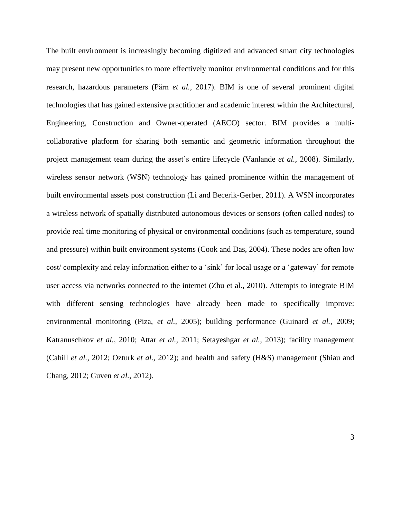The built environment is increasingly becoming digitized and advanced smart city technologies may present new opportunities to more effectively monitor environmental conditions and for this research, hazardous parameters (Pӓrn *et al.,* 2017). BIM is one of several prominent digital technologies that has gained extensive practitioner and academic interest within the Architectural, Engineering, Construction and Owner-operated (AECO) sector. BIM provides a multicollaborative platform for sharing both semantic and geometric information throughout the project management team during the asset's entire lifecycle (Vanlande *et al.,* 2008). Similarly, wireless sensor network (WSN) technology has gained prominence within the management of built environmental assets post construction (Li and Becerik-Gerber, 2011). A WSN incorporates a wireless network of spatially distributed autonomous devices or sensors (often called nodes) to provide real time monitoring of physical or environmental conditions (such as temperature, sound and pressure) within built environment systems (Cook and Das, 2004). These nodes are often low cost/ complexity and relay information either to a 'sink' for local usage or a 'gateway' for remote user access via networks connected to the internet (Zhu et al., 2010). Attempts to integrate BIM with different sensing technologies have already been made to specifically improve: environmental monitoring (Piza, *et al.,* 2005); building performance (Guinard *et al.,* 2009; Katranuschkov *et al.,* 2010; Attar *et al.,* 2011; Setayeshgar *et al.,* 2013); facility management (Cahill *et al.,* 2012; Ozturk *et al.,* 2012); and health and safety (H&S) management (Shiau and Chang, 2012; Guven *et al.,* 2012).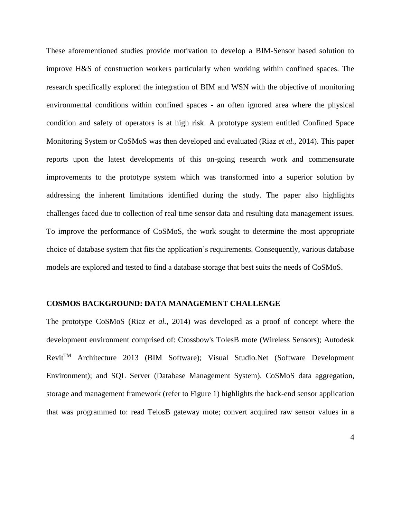These aforementioned studies provide motivation to develop a BIM-Sensor based solution to improve H&S of construction workers particularly when working within confined spaces. The research specifically explored the integration of BIM and WSN with the objective of monitoring environmental conditions within confined spaces - an often ignored area where the physical condition and safety of operators is at high risk. A prototype system entitled Confined Space Monitoring System or CoSMoS was then developed and evaluated (Riaz *et al.,* 2014). This paper reports upon the latest developments of this on-going research work and commensurate improvements to the prototype system which was transformed into a superior solution by addressing the inherent limitations identified during the study. The paper also highlights challenges faced due to collection of real time sensor data and resulting data management issues. To improve the performance of CoSMoS, the work sought to determine the most appropriate choice of database system that fits the application's requirements. Consequently, various database models are explored and tested to find a database storage that best suits the needs of CoSMoS.

## **COSMOS BACKGROUND: DATA MANAGEMENT CHALLENGE**

The prototype CoSMoS (Riaz *et al.,* 2014) was developed as a proof of concept where the development environment comprised of: Crossbow's TolesB mote (Wireless Sensors); Autodesk RevitTM Architecture 2013 (BIM Software); Visual Studio.Net (Software Development Environment); and SQL Server (Database Management System). CoSMoS data aggregation, storage and management framework (refer to Figure 1) highlights the back-end sensor application that was programmed to: read TelosB gateway mote; convert acquired raw sensor values in a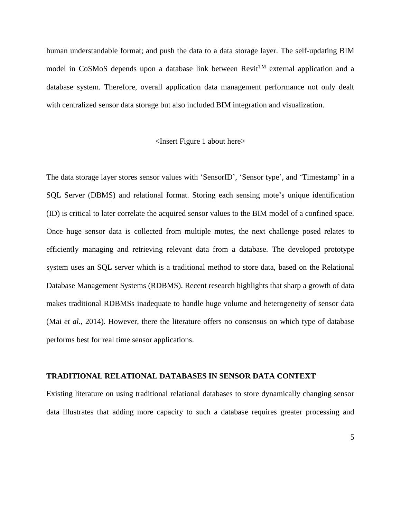human understandable format; and push the data to a data storage layer. The self-updating BIM model in CoSMoS depends upon a database link between Revit<sup>TM</sup> external application and a database system. Therefore, overall application data management performance not only dealt with centralized sensor data storage but also included BIM integration and visualization.

#### <Insert Figure 1 about here>

The data storage layer stores sensor values with 'SensorID', 'Sensor type', and 'Timestamp' in a SQL Server (DBMS) and relational format. Storing each sensing mote's unique identification (ID) is critical to later correlate the acquired sensor values to the BIM model of a confined space. Once huge sensor data is collected from multiple motes, the next challenge posed relates to efficiently managing and retrieving relevant data from a database. The developed prototype system uses an SQL server which is a traditional method to store data, based on the Relational Database Management Systems (RDBMS). Recent research highlights that sharp a growth of data makes traditional RDBMSs inadequate to handle huge volume and heterogeneity of sensor data (Mai *et al.,* 2014). However, there the literature offers no consensus on which type of database performs best for real time sensor applications.

# **TRADITIONAL RELATIONAL DATABASES IN SENSOR DATA CONTEXT**

Existing literature on using traditional relational databases to store dynamically changing sensor data illustrates that adding more capacity to such a database requires greater processing and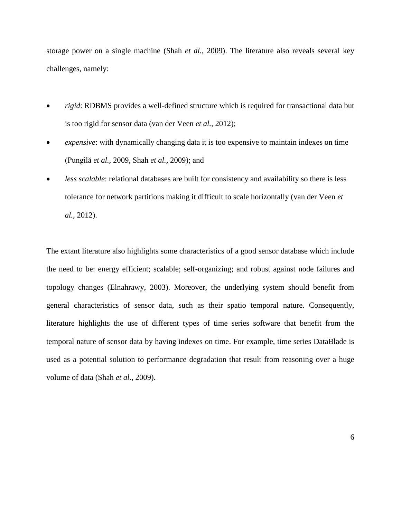storage power on a single machine (Shah *et al.,* 2009). The literature also reveals several key challenges, namely:

- *rigid*: RDBMS provides a well-defined structure which is required for transactional data but is too rigid for sensor data (van der Veen *et al.,* 2012);
- *expensive*: with dynamically changing data it is too expensive to maintain indexes on time (Pungilă *et al.,* 2009, Shah *et al.,* 2009); and
- *less scalable*: relational databases are built for consistency and availability so there is less tolerance for network partitions making it difficult to scale horizontally (van der Veen *et al.,* 2012).

The extant literature also highlights some characteristics of a good sensor database which include the need to be: energy efficient; scalable; self-organizing; and robust against node failures and topology changes (Elnahrawy, 2003). Moreover, the underlying system should benefit from general characteristics of sensor data, such as their spatio temporal nature. Consequently, literature highlights the use of different types of time series software that benefit from the temporal nature of sensor data by having indexes on time. For example, time series DataBlade is used as a potential solution to performance degradation that result from reasoning over a huge volume of data (Shah *et al.,* 2009).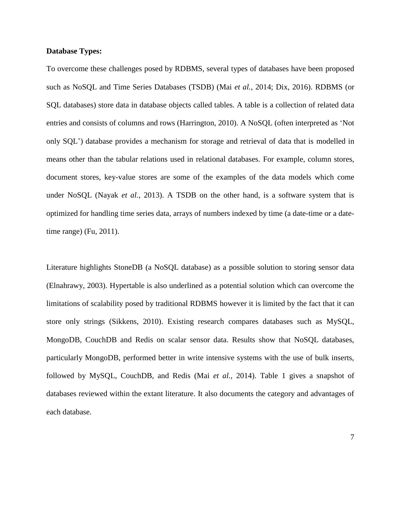#### **Database Types:**

To overcome these challenges posed by RDBMS, several types of databases have been proposed such as NoSQL and Time Series Databases (TSDB) (Mai *et al.,* 2014; Dix, 2016). RDBMS (or SQL databases) store data in database objects called tables. A table is a collection of related data entries and consists of columns and rows (Harrington, 2010). A NoSQL (often interpreted as 'Not only SQL') database provides a mechanism for storage and retrieval of data that is modelled in means other than the tabular relations used in relational databases. For example, column stores, document stores, key-value stores are some of the examples of the data models which come under NoSQL (Nayak *et al.,* 2013). A TSDB on the other hand, is a software system that is optimized for handling time series data, arrays of numbers indexed by time (a date-time or a datetime range) (Fu, 2011).

Literature highlights StoneDB (a NoSQL database) as a possible solution to storing sensor data (Elnahrawy, 2003). Hypertable is also underlined as a potential solution which can overcome the limitations of scalability posed by traditional RDBMS however it is limited by the fact that it can store only strings (Sikkens, 2010). Existing research compares databases such as MySQL, MongoDB, CouchDB and Redis on scalar sensor data. Results show that NoSQL databases, particularly MongoDB, performed better in write intensive systems with the use of bulk inserts, followed by MySQL, CouchDB, and Redis (Mai *et al.,* 2014). Table 1 gives a snapshot of databases reviewed within the extant literature. It also documents the category and advantages of each database.

7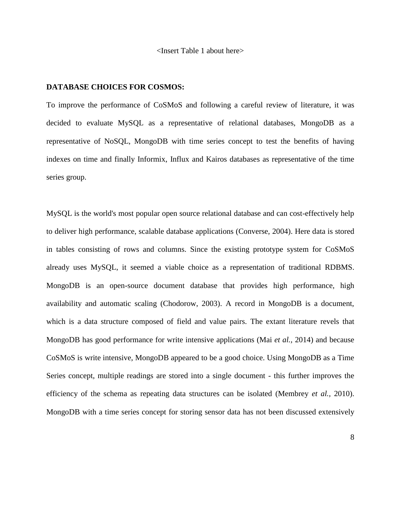<Insert Table 1 about here>

## **DATABASE CHOICES FOR COSMOS:**

To improve the performance of CoSMoS and following a careful review of literature, it was decided to evaluate MySQL as a representative of relational databases, MongoDB as a representative of NoSQL, MongoDB with time series concept to test the benefits of having indexes on time and finally Informix, Influx and Kairos databases as representative of the time series group.

MySQL is the world's most popular open source relational database and can cost-effectively help to deliver high performance, scalable database applications (Converse, 2004). Here data is stored in tables consisting of rows and columns. Since the existing prototype system for CoSMoS already uses MySQL, it seemed a viable choice as a representation of traditional RDBMS. MongoDB is an open-source document database that provides high performance, high availability and automatic scaling (Chodorow, 2003). A record in MongoDB is a document, which is a data structure composed of field and value pairs. The extant literature revels that MongoDB has good performance for write intensive applications (Mai *et al.,* 2014) and because CoSMoS is write intensive, MongoDB appeared to be a good choice. Using MongoDB as a Time Series concept, multiple readings are stored into a single document - this further improves the efficiency of the schema as repeating data structures can be isolated (Membrey *et al.,* 2010). MongoDB with a time series concept for storing sensor data has not been discussed extensively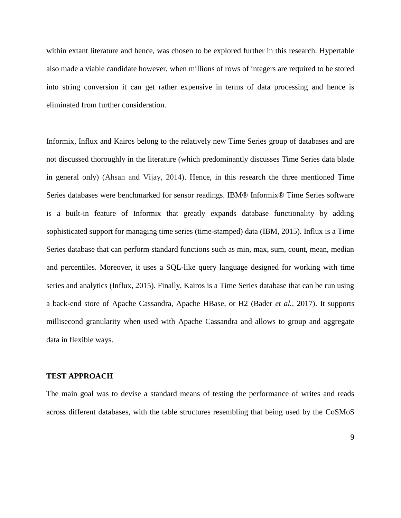within extant literature and hence, was chosen to be explored further in this research. Hypertable also made a viable candidate however, when millions of rows of integers are required to be stored into string conversion it can get rather expensive in terms of data processing and hence is eliminated from further consideration.

Informix, Influx and Kairos belong to the relatively new Time Series group of databases and are not discussed thoroughly in the literature (which predominantly discusses Time Series data blade in general only) (Ahsan and Vijay, 2014). Hence, in this research the three mentioned Time Series databases were benchmarked for sensor readings. IBM® Informix® Time Series software is a built-in feature of Informix that greatly expands database functionality by adding sophisticated support for managing time series (time-stamped) data (IBM, 2015). Influx is a Time Series database that can perform standard functions such as min, max, sum, count, mean, median and percentiles. Moreover, it uses a SQL-like query language designed for working with time series and analytics (Influx, 2015). Finally, Kairos is a Time Series database that can be run using a back-end store of Apache Cassandra, Apache HBase, or H2 (Bader *et al.,* 2017). It supports millisecond granularity when used with Apache Cassandra and allows to group and aggregate data in flexible ways.

# **TEST APPROACH**

The main goal was to devise a standard means of testing the performance of writes and reads across different databases, with the table structures resembling that being used by the CoSMoS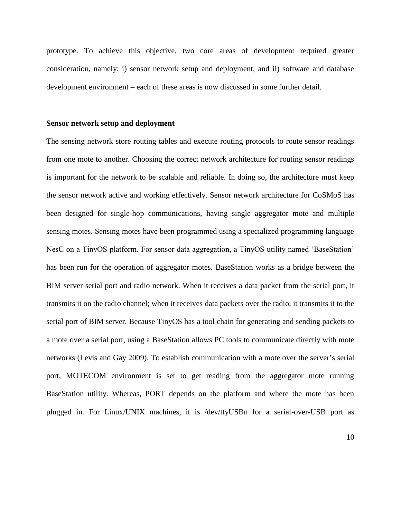prototype. To achieve this objective, two core areas of development required greater consideration, namely: i) sensor network setup and deployment; and ii) software and database development environment – each of these areas is now discussed in some further detail.

#### **Sensor network setup and deployment**

The sensing network store routing tables and execute routing protocols to route sensor readings from one mote to another. Choosing the correct network architecture for routing sensor readings is important for the network to be scalable and reliable. In doing so, the architecture must keep the sensor network active and working effectively. Sensor network architecture for CoSMoS has been designed for single-hop communications, having single aggregator mote and multiple sensing motes. Sensing motes have been programmed using a specialized programming language NesC on a TinyOS platform. For sensor data aggregation, a TinyOS utility named 'BaseStation' has been run for the operation of aggregator motes. BaseStation works as a bridge between the BIM server serial port and radio network. When it receives a data packet from the serial port, it transmits it on the radio channel; when it receives data packets over the radio, it transmits it to the serial port of BIM server. Because TinyOS has a tool chain for generating and sending packets to a mote over a serial port, using a BaseStation allows PC tools to communicate directly with mote networks (Levis and Gay 2009). To establish communication with a mote over the server's serial port, MOTECOM environment is set to get reading from the aggregator mote running BaseStation utility. Whereas, PORT depends on the platform and where the mote has been plugged in. For Linux/UNIX machines, it is /dev/ttyUSBn for a serial-over-USB port as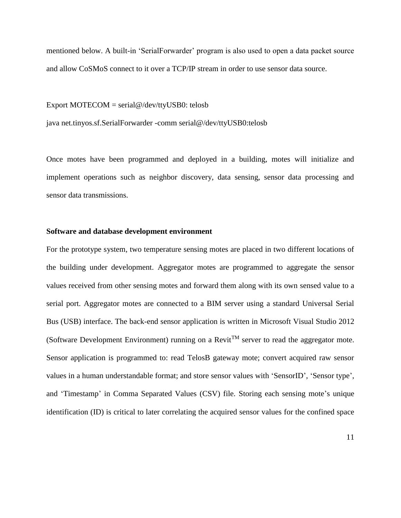mentioned below. A built-in 'SerialForwarder' program is also used to open a data packet source and allow CoSMoS connect to it over a TCP/IP stream in order to use sensor data source.

Export MOTECOM = serial@/dev/ttyUSB0: telosb

java net.tinyos.sf.SerialForwarder -comm serial@/dev/ttyUSB0:telosb

Once motes have been programmed and deployed in a building, motes will initialize and implement operations such as neighbor discovery, data sensing, sensor data processing and sensor data transmissions.

## **Software and database development environment**

For the prototype system, two temperature sensing motes are placed in two different locations of the building under development. Aggregator motes are programmed to aggregate the sensor values received from other sensing motes and forward them along with its own sensed value to a serial port. Aggregator motes are connected to a BIM server using a standard Universal Serial Bus (USB) interface. The back-end sensor application is written in Microsoft Visual Studio 2012 (Software Development Environment) running on a Revit<sup>TM</sup> server to read the aggregator mote. Sensor application is programmed to: read TelosB gateway mote; convert acquired raw sensor values in a human understandable format; and store sensor values with 'SensorID', 'Sensor type', and 'Timestamp' in Comma Separated Values (CSV) file. Storing each sensing mote's unique identification (ID) is critical to later correlating the acquired sensor values for the confined space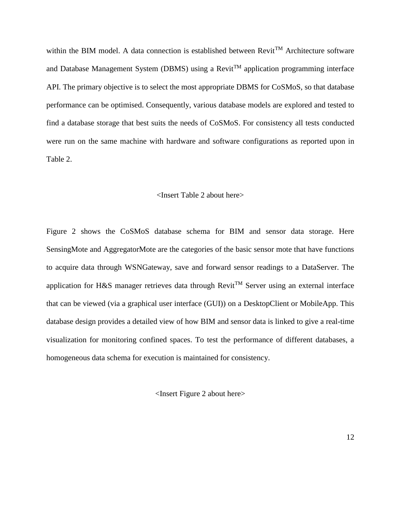within the BIM model. A data connection is established between  $Revit^{TM}$  Architecture software and Database Management System (DBMS) using a Revit<sup>TM</sup> application programming interface API. The primary objective is to select the most appropriate DBMS for CoSMoS, so that database performance can be optimised. Consequently, various database models are explored and tested to find a database storage that best suits the needs of CoSMoS. For consistency all tests conducted were run on the same machine with hardware and software configurations as reported upon in Table 2.

## <Insert Table 2 about here>

Figure 2 shows the CoSMoS database schema for BIM and sensor data storage. Here SensingMote and AggregatorMote are the categories of the basic sensor mote that have functions to acquire data through WSNGateway, save and forward sensor readings to a DataServer. The application for H&S manager retrieves data through Revit<sup>TM</sup> Server using an external interface that can be viewed (via a graphical user interface (GUI)) on a DesktopClient or MobileApp. This database design provides a detailed view of how BIM and sensor data is linked to give a real-time visualization for monitoring confined spaces. To test the performance of different databases, a homogeneous data schema for execution is maintained for consistency.

<Insert Figure 2 about here>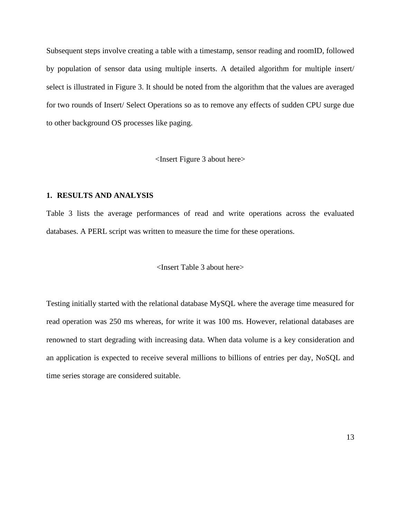Subsequent steps involve creating a table with a timestamp, sensor reading and roomID, followed by population of sensor data using multiple inserts. A detailed algorithm for multiple insert/ select is illustrated in Figure 3. It should be noted from the algorithm that the values are averaged for two rounds of Insert/ Select Operations so as to remove any effects of sudden CPU surge due to other background OS processes like paging.

<Insert Figure 3 about here>

# **1. RESULTS AND ANALYSIS**

Table 3 lists the average performances of read and write operations across the evaluated databases. A PERL script was written to measure the time for these operations.

## <Insert Table 3 about here>

Testing initially started with the relational database MySQL where the average time measured for read operation was 250 ms whereas, for write it was 100 ms. However, relational databases are renowned to start degrading with increasing data. When data volume is a key consideration and an application is expected to receive several millions to billions of entries per day, NoSQL and time series storage are considered suitable.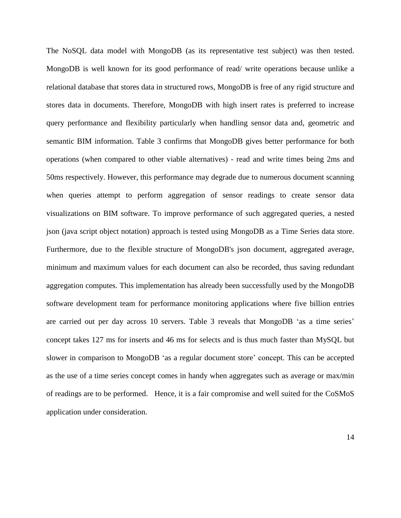The NoSQL data model with MongoDB (as its representative test subject) was then tested. MongoDB is well known for its good performance of read/ write operations because unlike a relational database that stores data in structured rows, MongoDB is free of any rigid structure and stores data in documents. Therefore, MongoDB with high insert rates is preferred to increase query performance and flexibility particularly when handling sensor data and, geometric and semantic BIM information. Table 3 confirms that MongoDB gives better performance for both operations (when compared to other viable alternatives) - read and write times being 2ms and 50ms respectively. However, this performance may degrade due to numerous document scanning when queries attempt to perform aggregation of sensor readings to create sensor data visualizations on BIM software. To improve performance of such aggregated queries, a nested json (java script object notation) approach is tested using MongoDB as a Time Series data store. Furthermore, due to the flexible structure of MongoDB's json document, aggregated average, minimum and maximum values for each document can also be recorded, thus saving redundant aggregation computes. This implementation has already been successfully used by the MongoDB software development team for performance monitoring applications where five billion entries are carried out per day across 10 servers. Table 3 reveals that MongoDB 'as a time series' concept takes 127 ms for inserts and 46 ms for selects and is thus much faster than MySQL but slower in comparison to MongoDB 'as a regular document store' concept. This can be accepted as the use of a time series concept comes in handy when aggregates such as average or max/min of readings are to be performed. Hence, it is a fair compromise and well suited for the CoSMoS application under consideration.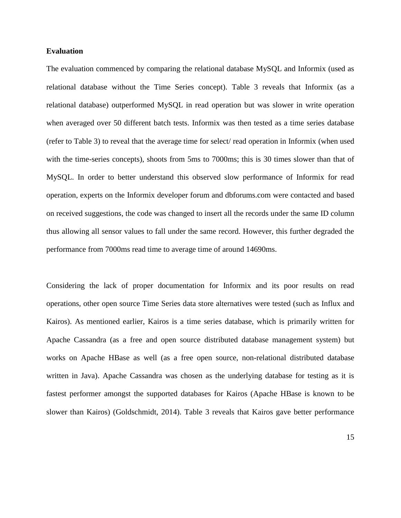## **Evaluation**

The evaluation commenced by comparing the relational database MySQL and Informix (used as relational database without the Time Series concept). Table 3 reveals that Informix (as a relational database) outperformed MySQL in read operation but was slower in write operation when averaged over 50 different batch tests. Informix was then tested as a time series database (refer to Table 3) to reveal that the average time for select/ read operation in Informix (when used with the time-series concepts), shoots from 5ms to 7000ms; this is 30 times slower than that of MySQL. In order to better understand this observed slow performance of Informix for read operation, experts on the Informix developer forum and dbforums.com were contacted and based on received suggestions, the code was changed to insert all the records under the same ID column thus allowing all sensor values to fall under the same record. However, this further degraded the performance from 7000ms read time to average time of around 14690ms.

Considering the lack of proper documentation for Informix and its poor results on read operations, other open source Time Series data store alternatives were tested (such as Influx and Kairos). As mentioned earlier, Kairos is a time series database, which is primarily written for Apache Cassandra (as a free and open source distributed database management system) but works on Apache HBase as well (as a free open source, non-relational distributed database written in Java). Apache Cassandra was chosen as the underlying database for testing as it is fastest performer amongst the supported databases for Kairos (Apache HBase is known to be slower than Kairos) (Goldschmidt, 2014). Table 3 reveals that Kairos gave better performance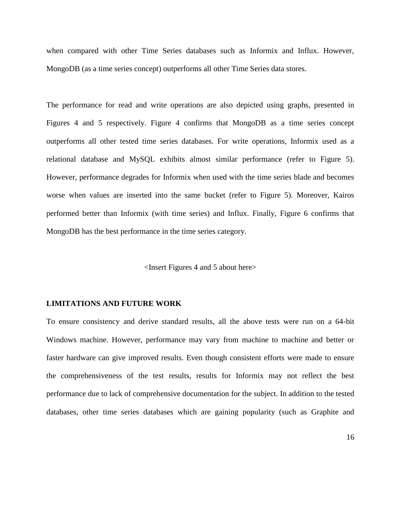when compared with other Time Series databases such as Informix and Influx. However, MongoDB (as a time series concept) outperforms all other Time Series data stores.

The performance for read and write operations are also depicted using graphs, presented in Figures 4 and 5 respectively. Figure 4 confirms that MongoDB as a time series concept outperforms all other tested time series databases. For write operations, Informix used as a relational database and MySQL exhibits almost similar performance (refer to Figure 5). However, performance degrades for Informix when used with the time series blade and becomes worse when values are inserted into the same bucket (refer to Figure 5). Moreover, Kairos performed better than Informix (with time series) and Influx. Finally, Figure 6 confirms that MongoDB has the best performance in the time series category.

<Insert Figures 4 and 5 about here>

## **LIMITATIONS AND FUTURE WORK**

To ensure consistency and derive standard results, all the above tests were run on a 64-bit Windows machine. However, performance may vary from machine to machine and better or faster hardware can give improved results. Even though consistent efforts were made to ensure the comprehensiveness of the test results, results for Informix may not reflect the best performance due to lack of comprehensive documentation for the subject. In addition to the tested databases, other time series databases which are gaining popularity (such as Graphite and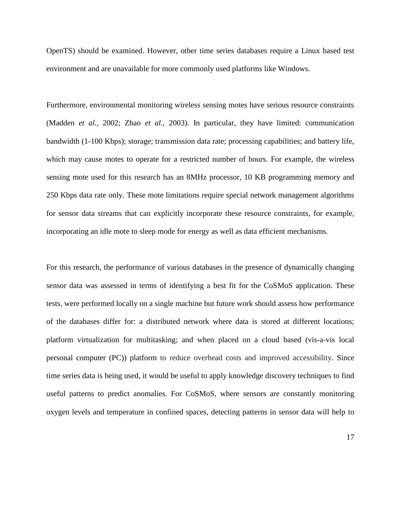OpenTS) should be examined. However, other time series databases require a Linux based test environment and are unavailable for more commonly used platforms like Windows.

Furthermore, environmental monitoring wireless sensing motes have serious resource constraints (Madden *et al.,* 2002; Zhao *et al.,* 2003). In particular, they have limited: communication bandwidth (1-100 Kbps); storage; transmission data rate; processing capabilities; and battery life, which may cause motes to operate for a restricted number of hours. For example, the wireless sensing mote used for this research has an 8MHz processor, 10 KB programming memory and 250 Kbps data rate only. These mote limitations require special network management algorithms for sensor data streams that can explicitly incorporate these resource constraints, for example, incorporating an idle mote to sleep mode for energy as well as data efficient mechanisms.

For this research, the performance of various databases in the presence of dynamically changing sensor data was assessed in terms of identifying a best fit for the CoSMoS application. These tests, were performed locally on a single machine but future work should assess how performance of the databases differ for: a distributed network where data is stored at different locations; platform virtualization for multitasking; and when placed on a cloud based (vis-a-vis local personal computer (PC)) platform to reduce overhead costs and improved accessibility. Since time series data is being used, it would be useful to apply knowledge discovery techniques to find useful patterns to predict anomalies. For CoSMoS, where sensors are constantly monitoring oxygen levels and temperature in confined spaces, detecting patterns in sensor data will help to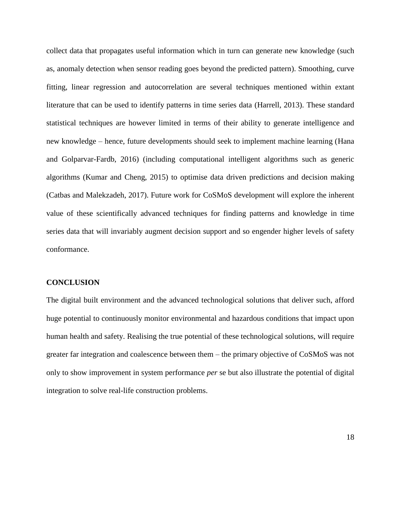collect data that propagates useful information which in turn can generate new knowledge (such as, anomaly detection when sensor reading goes beyond the predicted pattern). Smoothing, curve fitting, linear regression and autocorrelation are several techniques mentioned within extant literature that can be used to identify patterns in time series data (Harrell, 2013). These standard statistical techniques are however limited in terms of their ability to generate intelligence and new knowledge – hence, future developments should seek to implement machine learning (Hana and Golparvar-Fardb, 2016) (including computational intelligent algorithms such as generic algorithms (Kumar and Cheng, 2015) to optimise data driven predictions and decision making (Catbas and Malekzadeh, 2017). Future work for CoSMoS development will explore the inherent value of these scientifically advanced techniques for finding patterns and knowledge in time series data that will invariably augment decision support and so engender higher levels of safety conformance.

#### **CONCLUSION**

The digital built environment and the advanced technological solutions that deliver such, afford huge potential to continuously monitor environmental and hazardous conditions that impact upon human health and safety. Realising the true potential of these technological solutions, will require greater far integration and coalescence between them – the primary objective of CoSMoS was not only to show improvement in system performance *per* se but also illustrate the potential of digital integration to solve real-life construction problems.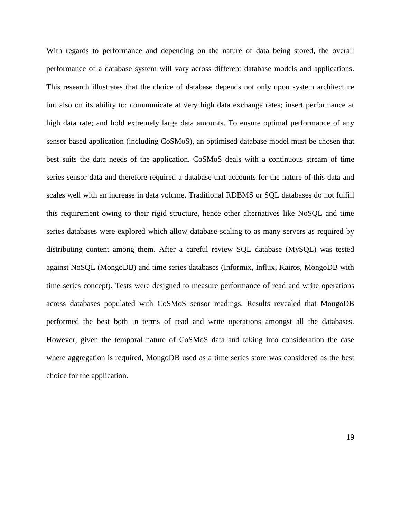With regards to performance and depending on the nature of data being stored, the overall performance of a database system will vary across different database models and applications. This research illustrates that the choice of database depends not only upon system architecture but also on its ability to: communicate at very high data exchange rates; insert performance at high data rate; and hold extremely large data amounts. To ensure optimal performance of any sensor based application (including CoSMoS), an optimised database model must be chosen that best suits the data needs of the application. CoSMoS deals with a continuous stream of time series sensor data and therefore required a database that accounts for the nature of this data and scales well with an increase in data volume. Traditional RDBMS or SQL databases do not fulfill this requirement owing to their rigid structure, hence other alternatives like NoSQL and time series databases were explored which allow database scaling to as many servers as required by distributing content among them. After a careful review SQL database (MySQL) was tested against NoSQL (MongoDB) and time series databases (Informix, Influx, Kairos, MongoDB with time series concept). Tests were designed to measure performance of read and write operations across databases populated with CoSMoS sensor readings. Results revealed that MongoDB performed the best both in terms of read and write operations amongst all the databases. However, given the temporal nature of CoSMoS data and taking into consideration the case where aggregation is required, MongoDB used as a time series store was considered as the best choice for the application.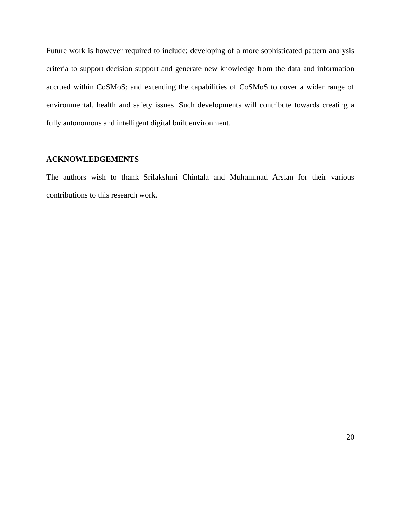Future work is however required to include: developing of a more sophisticated pattern analysis criteria to support decision support and generate new knowledge from the data and information accrued within CoSMoS; and extending the capabilities of CoSMoS to cover a wider range of environmental, health and safety issues. Such developments will contribute towards creating a fully autonomous and intelligent digital built environment.

# **ACKNOWLEDGEMENTS**

The authors wish to thank Srilakshmi Chintala and Muhammad Arslan for their various contributions to this research work.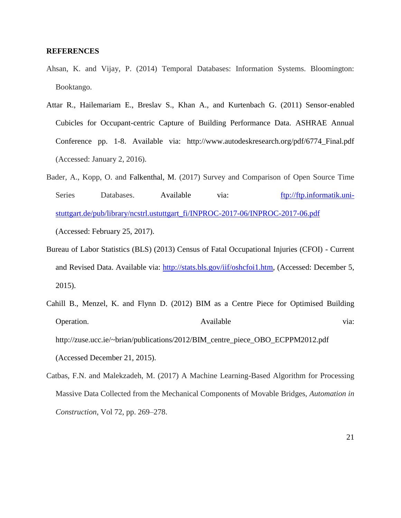#### **REFERENCES**

- Ahsan, K. and Vijay, P. (2014) Temporal Databases: Information Systems. Bloomington: Booktango.
- Attar R., Hailemariam E., Breslav S., Khan A., and Kurtenbach G. (2011) Sensor-enabled Cubicles for Occupant-centric Capture of Building Performance Data. ASHRAE Annual Conference pp. 1-8. Available via: http://www.autodeskresearch.org/pdf/6774\_Final.pdf (Accessed: January 2, 2016).
- Bader, A., Kopp, O. and Falkenthal, M. (2017) Survey and Comparison of Open Source Time Series Databases. Available via: [ftp://ftp.informatik.uni](ftp://ftp.informatik.uni-stuttgart.de/pub/library/ncstrl.ustuttgart_fi/INPROC-2017-06/INPROC-2017-06.pdf)[stuttgart.de/pub/library/ncstrl.ustuttgart\\_fi/INPROC-2017-06/INPROC-2017-06.pdf](ftp://ftp.informatik.uni-stuttgart.de/pub/library/ncstrl.ustuttgart_fi/INPROC-2017-06/INPROC-2017-06.pdf) (Accessed: February 25, 2017).
- Bureau of Labor Statistics (BLS) (2013) Census of Fatal Occupational Injuries (CFOI) Current and Revised Data. Available via: [http://stats.bls.gov/iif/oshcfoi1.htm,](http://stats.bls.gov/iif/oshcfoi1.htm) (Accessed: December 5, 2015).
- Cahill B., Menzel, K. and Flynn D. (2012) BIM as a Centre Piece for Optimised Building Operation. Available via: [http://zuse.ucc.ie/~brian/publications/2012/BIM\\_centre\\_piece\\_OBO\\_ECPPM2012.pdf](http://zuse.ucc.ie/~brian/publications/2012/BIM_centre_piece_OBO_ECPPM2012.pdf) (Accessed December 21, 2015).
- Catbas, F.N. and Malekzadeh, M. (2017) A Machine Learning-Based Algorithm for Processing Massive Data Collected from the Mechanical Components of Movable Bridges, *Automation in Construction*, Vol 72, pp. 269–278.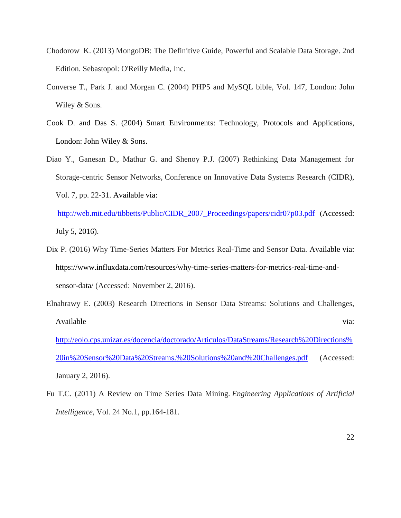- Chodorow K. (2013) MongoDB: The Definitive Guide, Powerful and Scalable Data Storage. 2nd Edition. Sebastopol: O'Reilly Media, Inc.
- Converse T., Park J. and Morgan C. (2004) PHP5 and MySQL bible, Vol. 147, London: John Wiley & Sons.
- Cook D. and Das S. (2004) Smart Environments: Technology, Protocols and Applications, London: John Wiley & Sons.
- Diao Y., Ganesan D., Mathur G. and Shenoy P.J. (2007) Rethinking Data Management for Storage-centric Sensor Networks, Conference on Innovative Data Systems Research (CIDR), Vol. 7, pp. 22-31. Available via:
	- [http://web.mit.edu/tibbetts/Public/CIDR\\_2007\\_Proceedings/papers/cidr07p03.pdf](http://web.mit.edu/tibbetts/Public/CIDR_2007_Proceedings/papers/cidr07p03.pdf) (Accessed: July 5, 2016).
- Dix P. (2016) Why Time-Series Matters For Metrics Real-Time and Sensor Data. Available via: https://www.influxdata.com/resources/why-time-series-matters-for-metrics-real-time-andsensor-data/ (Accessed: November 2, 2016).
- Elnahrawy E. (2003) Research Directions in Sensor Data Streams: Solutions and Challenges, Available via: via: [http://eolo.cps.unizar.es/docencia/doctorado/Articulos/DataStreams/Research%20Directions%](http://eolo.cps.unizar.es/docencia/doctorado/Articulos/DataStreams/Research%20Directions%20in%20Sensor%20Data%20Streams.%20Solutions%20and%20Challenges.pdf) [20in%20Sensor%20Data%20Streams.%20Solutions%20and%20Challenges.pdf](http://eolo.cps.unizar.es/docencia/doctorado/Articulos/DataStreams/Research%20Directions%20in%20Sensor%20Data%20Streams.%20Solutions%20and%20Challenges.pdf) (Accessed: January 2, 2016).
- Fu T.C. (2011) A Review on Time Series Data Mining. *Engineering Applications of Artificial Intelligence*, Vol. 24 No.1, pp.164-181.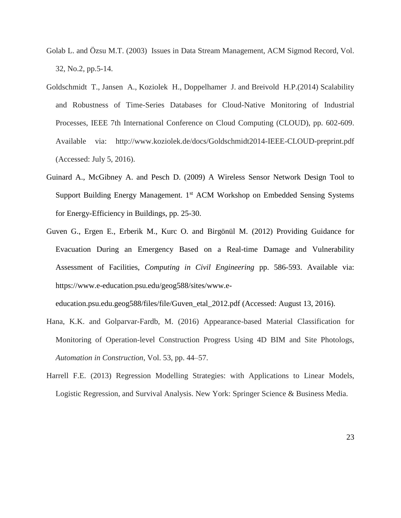- Golab L. and Özsu M.T. (2003) Issues in Data Stream Management, ACM Sigmod Record, Vol. 32, No.2, pp.5-14.
- Goldschmidt T., Jansen A., Koziolek H., Doppelhamer J. and Breivold H.P.(2014) Scalability and Robustness of Time-Series Databases for Cloud-Native Monitoring of Industrial Processes, IEEE 7th International Conference on Cloud Computing (CLOUD), pp. 602-609. Available via: http://www.koziolek.de/docs/Goldschmidt2014-IEEE-CLOUD-preprint.pdf (Accessed: July 5, 2016).
- Guinard A., McGibney A. and Pesch D. (2009) A Wireless Sensor Network Design Tool to Support Building Energy Management. 1<sup>st</sup> ACM Workshop on Embedded Sensing Systems for Energy-Efficiency in Buildings, pp. 25-30.
- Guven G., Ergen E., Erberik M., Kurc O. and Birgönül M. (2012) Providing Guidance for Evacuation During an Emergency Based on a Real-time Damage and Vulnerability Assessment of Facilities, *Computing in Civil Engineering* pp. 586-593. Available via: [https://www.e-education.psu.edu/geog588/sites/www.e-](https://www.e-education.psu.edu/geog588/sites/www.e-education.psu.edu.geog588/files/file/Guven_etal_2012.pdf)

[education.psu.edu.geog588/files/file/Guven\\_etal\\_2012.pdf](https://www.e-education.psu.edu/geog588/sites/www.e-education.psu.edu.geog588/files/file/Guven_etal_2012.pdf) (Accessed: August 13, 2016).

- Hana, K.K. and Golparvar-Fardb, M. (2016) Appearance-based Material Classification for Monitoring of Operation-level Construction Progress Using 4D BIM and Site Photologs, *Automation in Construction*, Vol. 53, pp. 44–57.
- Harrell F.E. (2013) Regression Modelling Strategies: with Applications to Linear Models, Logistic Regression, and Survival Analysis. New York: Springer Science & Business Media.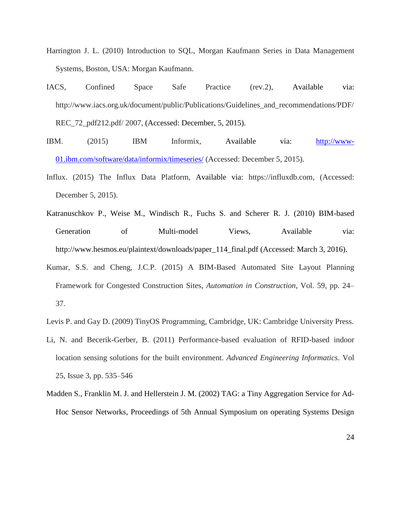- Harrington J. L. (2010) Introduction to SQL, Morgan Kaufmann Series in Data Management Systems, Boston, USA: Morgan Kaufmann.
- IACS, Confined Space Safe Practice (rev.2), Available via: http://www.iacs.org.uk/document/public/Publications/Guidelines\_and\_recommendations/PDF/ REC 72 pdf212.pdf/ 2007, (Accessed: December, 5, 2015).
- IBM. (2015) IBM Informix, Available via: [http://www-](http://www-01.ibm.com/software/data/informix/timeseries/)[01.ibm.com/software/data/informix/timeseries/](http://www-01.ibm.com/software/data/informix/timeseries/) (Accessed: December 5, 2015).
- Influx. (2015) The Influx Data Platform, Available via: https://influxdb.com, (Accessed: December 5, 2015).
- Katranuschkov P., Weise M., Windisch R., Fuchs S. and Scherer R. J. (2010) BIM-based Generation of Multi-model Views. Available via: [http://www.hesmos.eu/plaintext/downloads/paper\\_114\\_final.pdf](http://www.hesmos.eu/plaintext/downloads/paper_114_final.pdf) (Accessed: March 3, 2016).
- Kumar, S.S. and Cheng, J.C.P. (2015) A BIM-Based Automated Site Layout Planning Framework for Congested Construction Sites, *Automation in Construction*, Vol. 59, pp. 24– 37.
- Levis P. and Gay D. (2009) TinyOS Programming, Cambridge, UK: Cambridge University Press.
- Li, N. and Becerik-Gerber, B. (2011) Performance-based evaluation of RFID-based indoor location sensing solutions for the built environment. *[Advanced Engineering Informatics](http://www.sciencedirect.com/science/journal/14740346)*. [Vol](http://www.sciencedirect.com/science/journal/14740346/25/3)  [25, Issue 3,](http://www.sciencedirect.com/science/journal/14740346/25/3) pp. 535–546
- Madden S., Franklin M. J. and Hellerstein J. M. (2002) TAG: a Tiny Aggregation Service for Ad-Hoc Sensor Networks, Proceedings of 5th Annual Symposium on operating Systems Design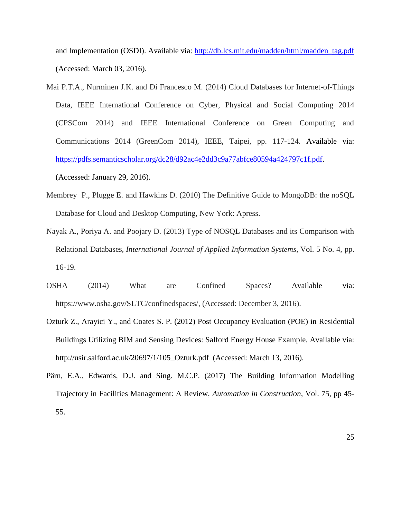and Implementation (OSDI). Available via: [http://db.lcs.mit.edu/madden/html/madden\\_tag.pdf](http://db.lcs.mit.edu/madden/html/madden_tag.pdf) (Accessed: March 03, 2016).

- Mai P.T.A., Nurminen J.K. and Di Francesco M. (2014) Cloud Databases for Internet-of-Things Data, IEEE International Conference on Cyber, Physical and Social Computing 2014 (CPSCom 2014) and IEEE International Conference on Green Computing and Communications 2014 (GreenCom 2014), IEEE, Taipei, pp. 117-124. Available via: [https://pdfs.semanticscholar.org/dc28/d92ac4e2dd3c9a77abfce80594a424797c1f.pdf.](https://pdfs.semanticscholar.org/dc28/d92ac4e2dd3c9a77abfce80594a424797c1f.pdf) (Accessed: January 29, 2016).
- Membrey P., Plugge E. and Hawkins D. (2010) The Definitive Guide to MongoDB: the noSQL Database for Cloud and Desktop Computing, New York: Apress.
- Nayak A., Poriya A. and Poojary D. (2013) Type of NOSQL Databases and its Comparison with Relational Databases, *International Journal of Applied Information Systems*, Vol. 5 No. 4, pp. 16-19.
- OSHA (2014) What are Confined Spaces? Available via: https://www.osha.gov/SLTC/confinedspaces/, (Accessed: December 3, 2016).
- Ozturk Z., Arayici Y., and Coates S. P. (2012) Post Occupancy Evaluation (POE) in Residential Buildings Utilizing BIM and Sensing Devices: Salford Energy House Example, Available via: [http://usir.salford.ac.uk/20697/1/105\\_Ozturk.pdf](http://usir.salford.ac.uk/20697/1/105_Ozturk.pdf) (Accessed: March 13, 2016).
- Pärn, E.A., Edwards, D.J. and Sing. M.C.P. (2017) The Building Information Modelling Trajectory in Facilities Management: A Review, *Automation in Construction*, Vol. 75, pp 45- 55.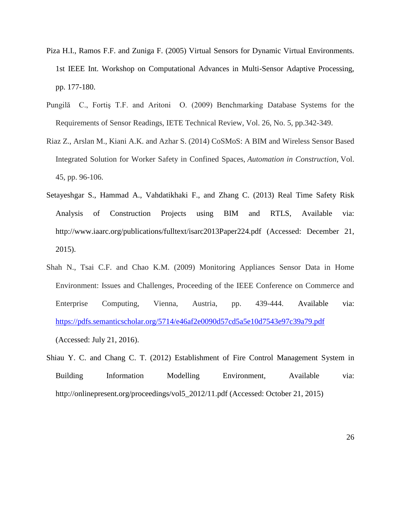- Piza H.I., Ramos F.F. and Zuniga F. (2005) Virtual Sensors for Dynamic Virtual Environments. 1st IEEE Int. Workshop on Computational Advances in Multi-Sensor Adaptive Processing, pp. 177-180.
- Pungilă C., Fortiş T.F. and Aritoni O. (2009) Benchmarking Database Systems for the Requirements of Sensor Readings, IETE Technical Review, Vol. 26, No. 5, pp.342-349.
- Riaz Z., Arslan M., Kiani A.K. and Azhar S. (2014) CoSMoS: A BIM and Wireless Sensor Based Integrated Solution for Worker Safety in Confined Spaces, *Automation in Construction*, Vol. 45, pp. 96-106.
- Setayeshgar S., Hammad A., Vahdatikhaki F., and Zhang C. (2013) Real Time Safety Risk Analysis of Construction Projects using BIM and RTLS, Available via: <http://www.iaarc.org/publications/fulltext/isarc2013Paper224.pdf> (Accessed: December 21, 2015).
- Shah N., Tsai C.F. and Chao K.M. (2009) Monitoring Appliances Sensor Data in Home Environment: Issues and Challenges, Proceeding of the IEEE Conference on Commerce and Enterprise Computing, Vienna, Austria, pp. 439-444. Available via: <https://pdfs.semanticscholar.org/5714/e46af2e0090d57cd5a5e10d7543e97c39a79.pdf> (Accessed: July 21, 2016).
- Shiau Y. C. and Chang C. T. (2012) Establishment of Fire Control Management System in Building Information Modelling Environment, Available via: [http://onlinepresent.org/proceedings/vol5\\_2012/11.pdf](http://onlinepresent.org/proceedings/vol5_2012/11.pdf) (Accessed: October 21, 2015)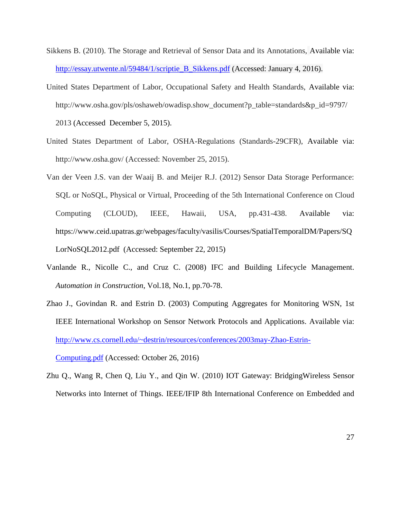- Sikkens B. (2010). The Storage and Retrieval of Sensor Data and its Annotations, Available via: [http://essay.utwente.nl/59484/1/scriptie\\_B\\_Sikkens.pdf](http://essay.utwente.nl/59484/1/scriptie_B_Sikkens.pdf) (Accessed: January 4, 2016).
- United States Department of Labor, Occupational Safety and Health Standards, Available via: http://www.osha.gov/pls/oshaweb/owadisp.show\_document?p\_table=standards&p\_id=9797/ 2013 (Accessed December 5, 2015).
- United States Department of Labor, OSHA-Regulations (Standards-29CFR), Available via: http://www.osha.gov/ (Accessed: November 25, 2015).
- Van der Veen J.S. van der Waaij B. and Meijer R.J. (2012) Sensor Data Storage Performance: SQL or NoSQL, Physical or Virtual, Proceeding of the 5th International Conference on Cloud Computing (CLOUD), IEEE, Hawaii, USA, pp.431-438. Available via: https://www.ceid.upatras.gr/webpages/faculty/vasilis/Courses/SpatialTemporalDM/Papers/SQ LorNoSQL2012.pdf (Accessed: September 22, 2015)
- Vanlande R., Nicolle C., and Cruz C. (2008) IFC and Building Lifecycle Management. *Automation in Construction*, Vol.18, No.1, pp.70-78.
- Zhao J., Govindan R. and Estrin D. (2003) Computing Aggregates for Monitoring WSN, 1st IEEE International Workshop on Sensor Network Protocols and Applications. Available via: [http://www.cs.cornell.edu/~destrin/resources/conferences/2003may-Zhao-Estrin-](http://www.cs.cornell.edu/~destrin/resources/conferences/2003may-Zhao-Estrin-Computing.pdf)

[Computing.pdf](http://www.cs.cornell.edu/~destrin/resources/conferences/2003may-Zhao-Estrin-Computing.pdf) (Accessed: October 26, 2016)

Zhu Q., Wang R, Chen Q, Liu Y., and Qin W. (2010) IOT Gateway: BridgingWireless Sensor Networks into Internet of Things. IEEE/IFIP 8th International Conference on Embedded and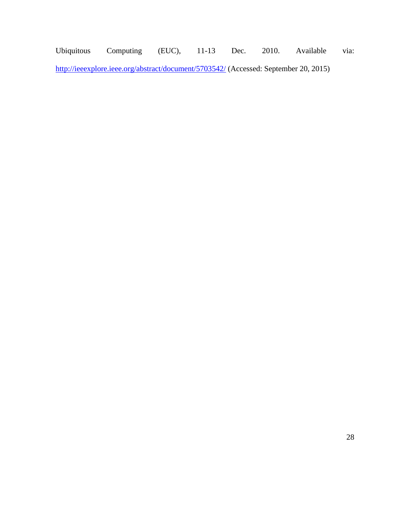Ubiquitous Computing (EUC), 11-13 Dec. 2010. Available via: <http://ieeexplore.ieee.org/abstract/document/5703542/> (Accessed: September 20, 2015)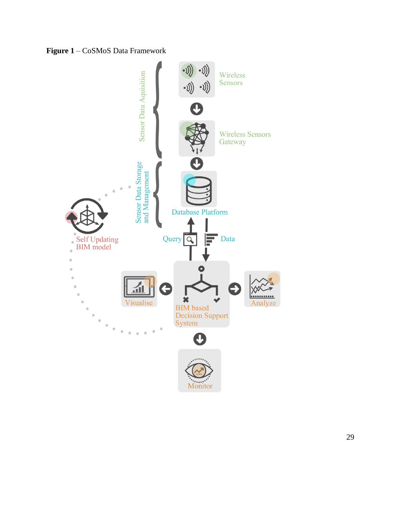

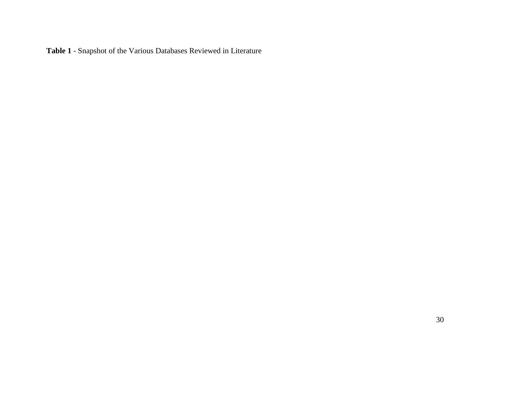**Table 1** - Snapshot of the Various Databases Reviewed in Literature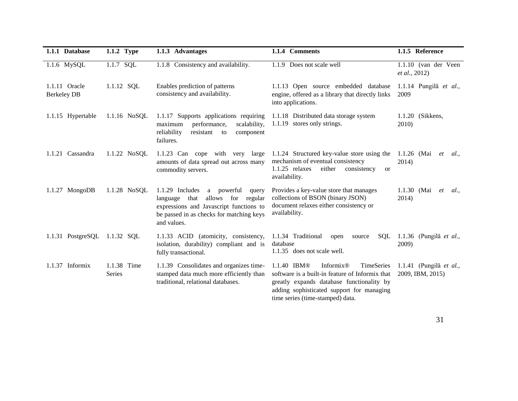| 1.1.1 Database                      | 1.1.2 Type                   | 1.1.3 Advantages                                                                                                                                                                            | 1.1.4 Comments                                                                                                                                                                                                                      | 1.1.5 Reference                             |
|-------------------------------------|------------------------------|---------------------------------------------------------------------------------------------------------------------------------------------------------------------------------------------|-------------------------------------------------------------------------------------------------------------------------------------------------------------------------------------------------------------------------------------|---------------------------------------------|
| 1.1.6 MySQL                         | 1.1.7 SQL                    | 1.1.8 Consistency and availability.                                                                                                                                                         | 1.1.9 Does not scale well                                                                                                                                                                                                           | 1.1.10 (van der Veen<br>et al., 2012)       |
| 1.1.11 Oracle<br><b>Berkeley DB</b> | 1.1.12 SQL                   | Enables prediction of patterns<br>consistency and availability.                                                                                                                             | 1.1.13 Open source embedded database<br>engine, offered as a library that directly links<br>into applications.                                                                                                                      | 1.1.14 Pungilă et al.,<br>2009              |
| 1.1.15 Hypertable                   | $1.1.16$ NoSQL               | 1.1.17 Supports applications requiring<br>performance,<br>scalability,<br>maximum<br>reliability<br>resistant to<br>component<br>failures.                                                  | 1.1.18 Distributed data storage system<br>1.1.19 stores only strings.                                                                                                                                                               | 1.1.20 (Sikkens,<br>2010)                   |
| 1.1.21 Cassandra                    | 1.1.22 NoSQL                 | 1.1.23 Can cope with very<br>large<br>amounts of data spread out across many<br>commodity servers.                                                                                          | 1.1.24 Structured key-value store using the<br>mechanism of eventual consistency<br>$1.1.25$ relaxes<br>either<br>consistency<br><b>or</b><br>availability.                                                                         | 1.1.26 (Mai<br>et<br><i>al.</i> ,<br>2014)  |
| 1.1.27 MongoDB                      | 1.1.28 NoSQL                 | $1.1.29$ Includes<br>a powerful<br>query<br>allows for<br>language<br>that<br>regular<br>expressions and Javascript functions to<br>be passed in as checks for matching keys<br>and values. | Provides a key-value store that manages<br>collections of BSON (binary JSON)<br>document relaxes either consistency or<br>availability.                                                                                             | 1.1.30 (Mai)<br>et<br><i>al.</i> ,<br>2014) |
| 1.1.31 PostgreSQL 1.1.32 SQL        |                              | 1.1.33 ACID (atomicity, consistency,<br>isolation, durability) compliant and is<br>fully transactional.                                                                                     | 1.1.34 Traditional<br>SQL<br>open<br>source<br>database<br>1.1.35 does not scale well.                                                                                                                                              | 1.1.36 (Pungilă et al.,<br>2009)            |
| $1.1.37$ Informix                   | 1.1.38 Time<br><b>Series</b> | 1.1.39 Consolidates and organizes time-<br>stamped data much more efficiently than<br>traditional, relational databases.                                                                    | 1.1.40 IBM®<br>Informix <sup>®</sup><br>TimeSeries<br>software is a built-in feature of Informix that<br>greatly expands database functionality by<br>adding sophisticated support for managing<br>time series (time-stamped) data. | 1.1.41 (Pungilă et al.,<br>2009, IBM, 2015) |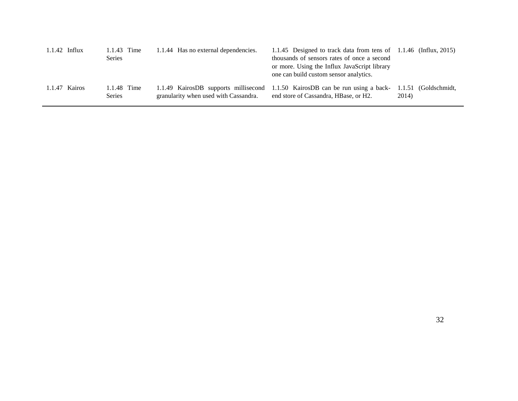| $1.1.42$ Influx | 1.1.43 Time<br><b>Series</b> | 1.1.44 Has no external dependencies.  | 1.1.45 Designed to track data from tens of 1.1.46 (Influx, 2015)<br>thousands of sensors rates of once a second<br>or more. Using the Influx JavaScript library<br>one can build custom sensor analytics. |       |
|-----------------|------------------------------|---------------------------------------|-----------------------------------------------------------------------------------------------------------------------------------------------------------------------------------------------------------|-------|
| 1.1.47 Kairos   | 1.1.48 Time<br><b>Series</b> | granularity when used with Cassandra. | 1.1.49 KairosDB supports millisecond 1.1.50 KairosDB can be run using a back- 1.1.51 (Goldschmidt,<br>end store of Cassandra, HBase, or H2.                                                               | 2014) |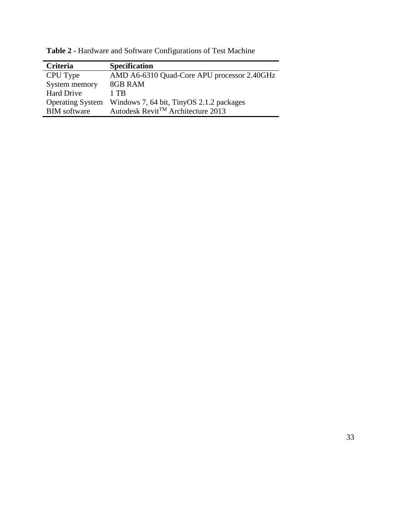| Criteria                | <b>Specification</b>                           |
|-------------------------|------------------------------------------------|
| CPU Type                | AMD A6-6310 Quad-Core APU processor 2.40GHz    |
| System memory           | 8GB RAM                                        |
| <b>Hard Drive</b>       | 1 TB                                           |
| <b>Operating System</b> | Windows 7, 64 bit, TinyOS 2.1.2 packages       |
| <b>BIM</b> software     | Autodesk Revit <sup>TM</sup> Architecture 2013 |

**Table 2 -** Hardware and Software Configurations of Test Machine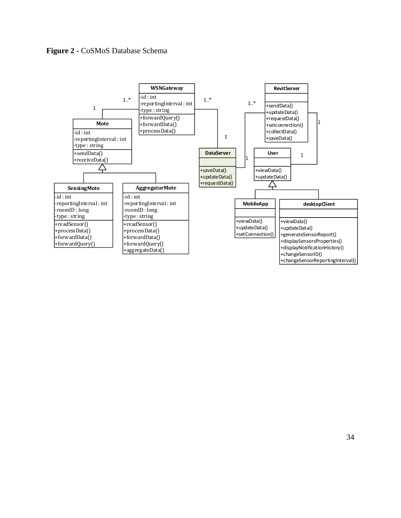

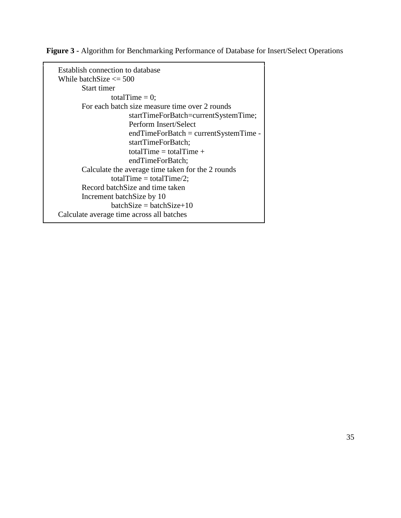**Figure 3 -** Algorithm for Benchmarking Performance of Database for Insert/Select Operations

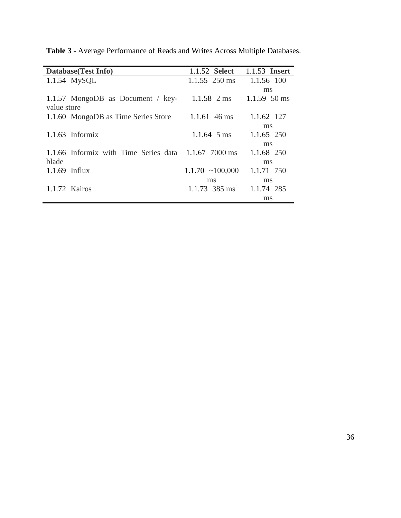| Database (Test Info)                                 | 1.1.52 <b>Select</b>  | 1.1.53 <b>Insert</b>     |
|------------------------------------------------------|-----------------------|--------------------------|
| $1.1.54$ MySQL                                       | $1.1.55$ 250 ms       | 1.1.56 100               |
|                                                      |                       | ms                       |
| 1.1.57 MongoDB as Document / $key-$                  | $1.1.58$ 2 ms         | $1.1.59\ 50 \,\text{ms}$ |
| value store                                          |                       |                          |
| 1.1.60 MongoDB as Time Series Store                  | $1.1.61\;46\;ms$      | 1.1.62 127               |
|                                                      |                       | ms                       |
| $1.1.63$ Informix                                    | 1.1.64 $5 \text{ ms}$ | 1.1.65 250               |
|                                                      |                       | ms                       |
| 1.1.66 Informix with Time Series data 1.1.67 7000 ms |                       | 1.1.68 250               |
| blade                                                |                       | ms                       |
| $1.1.69$ Influx                                      | $1.1.70 \sim 100,000$ | 1.1.71 750               |
|                                                      | ms                    | ms                       |
| 1.1.72 Kairos                                        | $1.1.73$ 385 ms       | 1.1.74 285               |
|                                                      |                       | ms                       |

**Table 3 -** Average Performance of Reads and Writes Across Multiple Databases.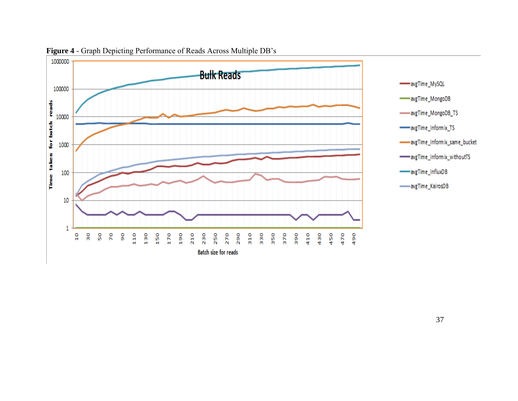

**Figure 4** - Graph Depicting Performance of Reads Across Multiple DB's